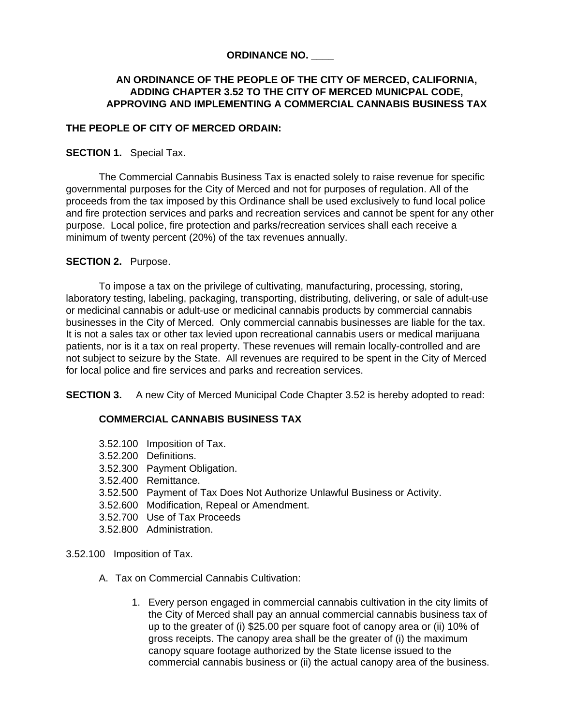# **ORDINANCE NO. \_\_\_\_**

# **AN ORDINANCE OF THE PEOPLE OF THE CITY OF MERCED, CALIFORNIA, ADDING CHAPTER 3.52 TO THE CITY OF MERCED MUNICPAL CODE, APPROVING AND IMPLEMENTING A COMMERCIAL CANNABIS BUSINESS TAX**

# **THE PEOPLE OF CITY OF MERCED ORDAIN:**

## **SECTION 1.** Special Tax.

The Commercial Cannabis Business Tax is enacted solely to raise revenue for specific governmental purposes for the City of Merced and not for purposes of regulation. All of the proceeds from the tax imposed by this Ordinance shall be used exclusively to fund local police and fire protection services and parks and recreation services and cannot be spent for any other purpose. Local police, fire protection and parks/recreation services shall each receive a minimum of twenty percent (20%) of the tax revenues annually.

## **SECTION 2. Purpose.**

To impose a tax on the privilege of cultivating, manufacturing, processing, storing, laboratory testing, labeling, packaging, transporting, distributing, delivering, or sale of adult-use or medicinal cannabis or adult-use or medicinal cannabis products by commercial cannabis businesses in the City of Merced. Only commercial cannabis businesses are liable for the tax. It is not a sales tax or other tax levied upon recreational cannabis users or medical marijuana patients, nor is it a tax on real property. These revenues will remain locally-controlled and are not subject to seizure by the State. All revenues are required to be spent in the City of Merced for local police and fire services and parks and recreation services.

**SECTION 3.** A new City of Merced Municipal Code Chapter 3.52 is hereby adopted to read:

## **COMMERCIAL CANNABIS BUSINESS TAX**

- 3.52.100 Imposition of Tax.
- 3.52.200 Definitions.
- 3.52.300 Payment Obligation.
- 3.52.400 Remittance.
- 3.52.500 Payment of Tax Does Not Authorize Unlawful Business or Activity.
- 3.52.600 Modification, Repeal or Amendment.
- 3.52.700 Use of Tax Proceeds
- 3.52.800 Administration.
- 3.52.100 Imposition of Tax.
	- A. Tax on Commercial Cannabis Cultivation:
		- 1. Every person engaged in commercial cannabis cultivation in the city limits of the City of Merced shall pay an annual commercial cannabis business tax of up to the greater of (i) \$25.00 per square foot of canopy area or (ii) 10% of gross receipts. The canopy area shall be the greater of (i) the maximum canopy square footage authorized by the State license issued to the commercial cannabis business or (ii) the actual canopy area of the business.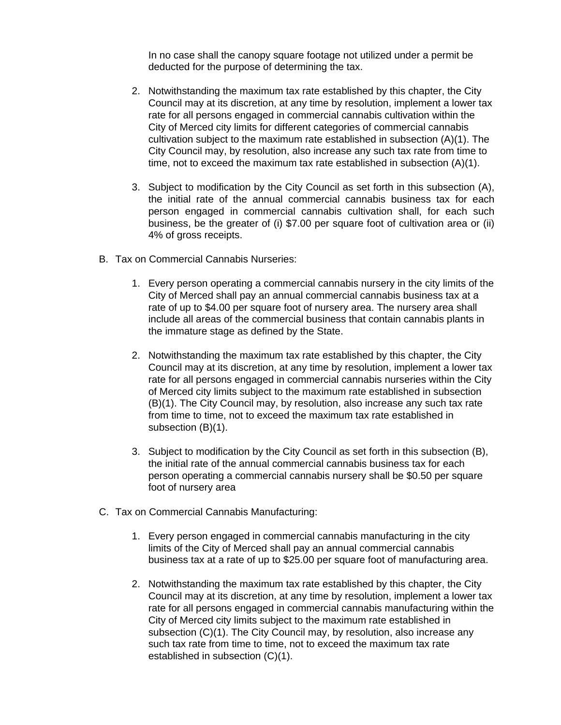In no case shall the canopy square footage not utilized under a permit be deducted for the purpose of determining the tax.

- 2. Notwithstanding the maximum tax rate established by this chapter, the City Council may at its discretion, at any time by resolution, implement a lower tax rate for all persons engaged in commercial cannabis cultivation within the City of Merced city limits for different categories of commercial cannabis cultivation subject to the maximum rate established in subsection (A)(1). The City Council may, by resolution, also increase any such tax rate from time to time, not to exceed the maximum tax rate established in subsection (A)(1).
- 3. Subject to modification by the City Council as set forth in this subsection (A), the initial rate of the annual commercial cannabis business tax for each person engaged in commercial cannabis cultivation shall, for each such business, be the greater of (i) \$7.00 per square foot of cultivation area or (ii) 4% of gross receipts.
- B. Tax on Commercial Cannabis Nurseries:
	- 1. Every person operating a commercial cannabis nursery in the city limits of the City of Merced shall pay an annual commercial cannabis business tax at a rate of up to \$4.00 per square foot of nursery area. The nursery area shall include all areas of the commercial business that contain cannabis plants in the immature stage as defined by the State.
	- 2. Notwithstanding the maximum tax rate established by this chapter, the City Council may at its discretion, at any time by resolution, implement a lower tax rate for all persons engaged in commercial cannabis nurseries within the City of Merced city limits subject to the maximum rate established in subsection (B)(1). The City Council may, by resolution, also increase any such tax rate from time to time, not to exceed the maximum tax rate established in subsection (B)(1).
	- 3. Subject to modification by the City Council as set forth in this subsection (B), the initial rate of the annual commercial cannabis business tax for each person operating a commercial cannabis nursery shall be \$0.50 per square foot of nursery area
- C. Tax on Commercial Cannabis Manufacturing:
	- 1. Every person engaged in commercial cannabis manufacturing in the city limits of the City of Merced shall pay an annual commercial cannabis business tax at a rate of up to \$25.00 per square foot of manufacturing area.
	- 2. Notwithstanding the maximum tax rate established by this chapter, the City Council may at its discretion, at any time by resolution, implement a lower tax rate for all persons engaged in commercial cannabis manufacturing within the City of Merced city limits subject to the maximum rate established in subsection (C)(1). The City Council may, by resolution, also increase any such tax rate from time to time, not to exceed the maximum tax rate established in subsection (C)(1).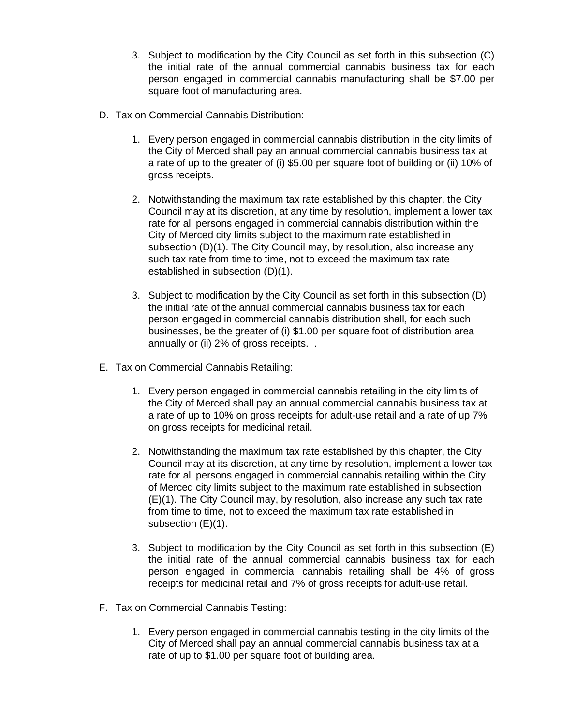- 3. Subject to modification by the City Council as set forth in this subsection (C) the initial rate of the annual commercial cannabis business tax for each person engaged in commercial cannabis manufacturing shall be \$7.00 per square foot of manufacturing area.
- D. Tax on Commercial Cannabis Distribution:
	- 1. Every person engaged in commercial cannabis distribution in the city limits of the City of Merced shall pay an annual commercial cannabis business tax at a rate of up to the greater of (i) \$5.00 per square foot of building or (ii) 10% of gross receipts.
	- 2. Notwithstanding the maximum tax rate established by this chapter, the City Council may at its discretion, at any time by resolution, implement a lower tax rate for all persons engaged in commercial cannabis distribution within the City of Merced city limits subject to the maximum rate established in subsection (D)(1). The City Council may, by resolution, also increase any such tax rate from time to time, not to exceed the maximum tax rate established in subsection (D)(1).
	- 3. Subject to modification by the City Council as set forth in this subsection (D) the initial rate of the annual commercial cannabis business tax for each person engaged in commercial cannabis distribution shall, for each such businesses, be the greater of (i) \$1.00 per square foot of distribution area annually or (ii) 2% of gross receipts. .
- E. Tax on Commercial Cannabis Retailing:
	- 1. Every person engaged in commercial cannabis retailing in the city limits of the City of Merced shall pay an annual commercial cannabis business tax at a rate of up to 10% on gross receipts for adult-use retail and a rate of up 7% on gross receipts for medicinal retail.
	- 2. Notwithstanding the maximum tax rate established by this chapter, the City Council may at its discretion, at any time by resolution, implement a lower tax rate for all persons engaged in commercial cannabis retailing within the City of Merced city limits subject to the maximum rate established in subsection (E)(1). The City Council may, by resolution, also increase any such tax rate from time to time, not to exceed the maximum tax rate established in subsection (E)(1).
	- 3. Subject to modification by the City Council as set forth in this subsection (E) the initial rate of the annual commercial cannabis business tax for each person engaged in commercial cannabis retailing shall be 4% of gross receipts for medicinal retail and 7% of gross receipts for adult-use retail.
- F. Tax on Commercial Cannabis Testing:
	- 1. Every person engaged in commercial cannabis testing in the city limits of the City of Merced shall pay an annual commercial cannabis business tax at a rate of up to \$1.00 per square foot of building area.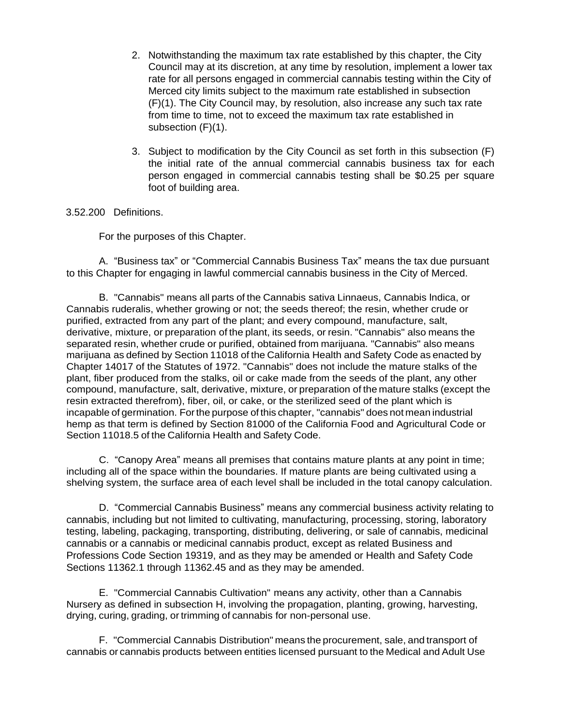- 2. Notwithstanding the maximum tax rate established by this chapter, the City Council may at its discretion, at any time by resolution, implement a lower tax rate for all persons engaged in commercial cannabis testing within the City of Merced city limits subject to the maximum rate established in subsection (F)(1). The City Council may, by resolution, also increase any such tax rate from time to time, not to exceed the maximum tax rate established in subsection (F)(1).
- 3. Subject to modification by the City Council as set forth in this subsection (F) the initial rate of the annual commercial cannabis business tax for each person engaged in commercial cannabis testing shall be \$0.25 per square foot of building area.

3.52.200 Definitions.

For the purposes of this Chapter.

A. "Business tax" or "Commercial Cannabis Business Tax" means the tax due pursuant to this Chapter for engaging in lawful commercial cannabis business in the City of Merced.

B. "Cannabis" means all parts of the Cannabis sativa Linnaeus, Cannabis lndica, or Cannabis ruderalis, whether growing or not; the seeds thereof; the resin, whether crude or purified, extracted from any part of the plant; and every compound, manufacture, salt, derivative, mixture, or preparation of the plant, its seeds, or resin. "Cannabis" also means the separated resin, whether crude or purified, obtained from marijuana. "Cannabis" also means marijuana as defined by Section 11018 of the California Health and Safety Code as enacted by Chapter 14017 of the Statutes of 1972. "Cannabis" does not include the mature stalks of the plant, fiber produced from the stalks, oil or cake made from the seeds of the plant, any other compound, manufacture, salt, derivative, mixture, or preparation of the mature stalks (except the resin extracted therefrom), fiber, oil, or cake, or the sterilized seed of the plant which is incapable of germination. Forthe purpose of this chapter, "cannabis" does not mean industrial hemp as that term is defined by Section 81000 of the California Food and Agricultural Code or Section 11018.5 of the California Health and Safety Code.

C. "Canopy Area" means all premises that contains mature plants at any point in time; including all of the space within the boundaries. If mature plants are being cultivated using a shelving system, the surface area of each level shall be included in the total canopy calculation.

D. "Commercial Cannabis Business" means any commercial business activity relating to cannabis, including but not limited to cultivating, manufacturing, processing, storing, laboratory testing, labeling, packaging, transporting, distributing, delivering, or sale of cannabis, medicinal cannabis or a cannabis or medicinal cannabis product, except as related Business and Professions Code Section 19319, and as they may be amended or Health and Safety Code Sections 11362.1 through 11362.45 and as they may be amended.

E. "Commercial Cannabis Cultivation" means any activity, other than a Cannabis Nursery as defined in subsection H, involving the propagation, planting, growing, harvesting, drying, curing, grading, or trimming of cannabis for non-personal use.

F. "Commercial Cannabis Distribution" means the procurement, sale, and transport of cannabis or cannabis products between entities licensed pursuant to the Medical and Adult Use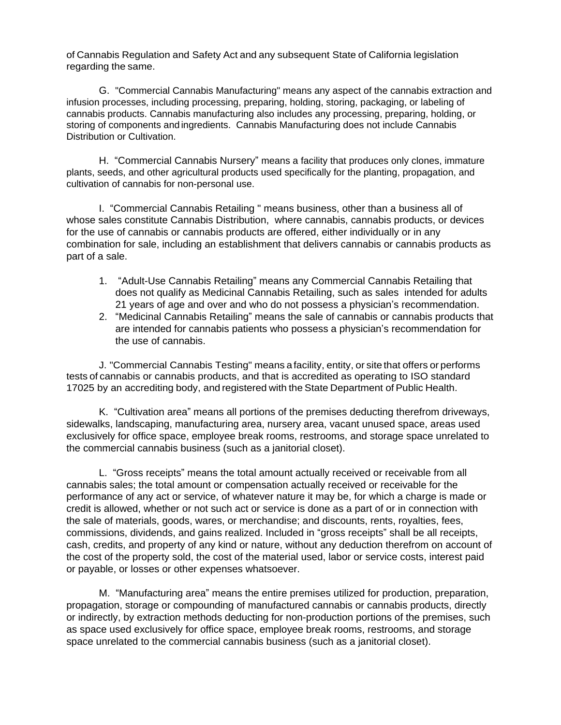of Cannabis Regulation and Safety Act and any subsequent State of California legislation regarding the same.

G. "Commercial Cannabis Manufacturing" means any aspect of the cannabis extraction and infusion processes, including processing, preparing, holding, storing, packaging, or labeling of cannabis products. Cannabis manufacturing also includes any processing, preparing, holding, or storing of components and ingredients. Cannabis Manufacturing does not include Cannabis Distribution or Cultivation.

H. "Commercial Cannabis Nursery" means a facility that produces only clones, immature plants, seeds, and other agricultural products used specifically for the planting, propagation, and cultivation of cannabis for non-personal use.

I. "Commercial Cannabis Retailing " means business, other than a business all of whose sales constitute Cannabis Distribution, where cannabis, cannabis products, or devices for the use of cannabis or cannabis products are offered, either individually or in any combination for sale, including an establishment that delivers cannabis or cannabis products as part of a sale.

- 1. "Adult-Use Cannabis Retailing" means any Commercial Cannabis Retailing that does not qualify as Medicinal Cannabis Retailing, such as sales intended for adults 21 years of age and over and who do not possess a physician's recommendation.
- 2. "Medicinal Cannabis Retailing" means the sale of cannabis or cannabis products that are intended for cannabis patients who possess a physician's recommendation for the use of cannabis.

J. "Commercial Cannabis Testing" means a facility, entity, or site that offers or performs tests of cannabis or cannabis products, and that is accredited as operating to ISO standard 17025 by an accrediting body, and registered with the State Department of Public Health.

K. "Cultivation area" means all portions of the premises deducting therefrom driveways, sidewalks, landscaping, manufacturing area, nursery area, vacant unused space, areas used exclusively for office space, employee break rooms, restrooms, and storage space unrelated to the commercial cannabis business (such as a janitorial closet).

L. "Gross receipts" means the total amount actually received or receivable from all cannabis sales; the total amount or compensation actually received or receivable for the performance of any act or service, of whatever nature it may be, for which a charge is made or credit is allowed, whether or not such act or service is done as a part of or in connection with the sale of materials, goods, wares, or merchandise; and discounts, rents, royalties, fees, commissions, dividends, and gains realized. Included in "gross receipts" shall be all receipts, cash, credits, and property of any kind or nature, without any deduction therefrom on account of the cost of the property sold, the cost of the material used, labor or service costs, interest paid or payable, or losses or other expenses whatsoever.

M. "Manufacturing area" means the entire premises utilized for production, preparation, propagation, storage or compounding of manufactured cannabis or cannabis products, directly or indirectly, by extraction methods deducting for non-production portions of the premises, such as space used exclusively for office space, employee break rooms, restrooms, and storage space unrelated to the commercial cannabis business (such as a janitorial closet).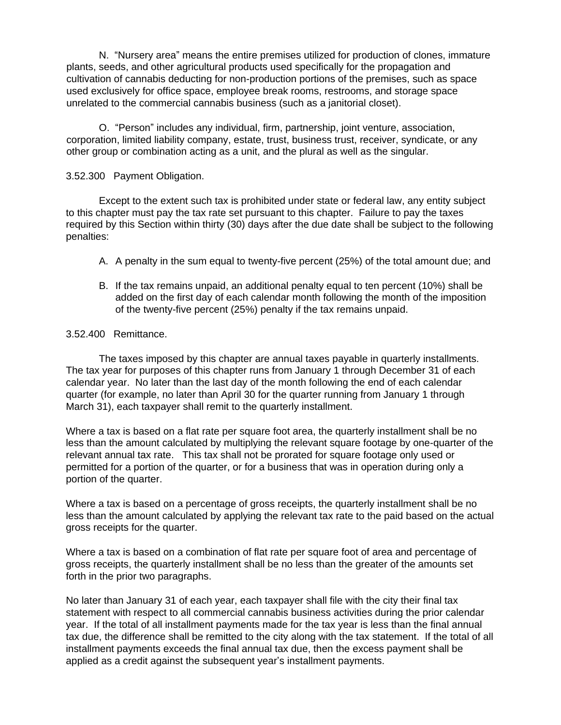N. "Nursery area" means the entire premises utilized for production of clones, immature plants, seeds, and other agricultural products used specifically for the propagation and cultivation of cannabis deducting for non-production portions of the premises, such as space used exclusively for office space, employee break rooms, restrooms, and storage space unrelated to the commercial cannabis business (such as a janitorial closet).

O. "Person" includes any individual, firm, partnership, joint venture, association, corporation, limited liability company, estate, trust, business trust, receiver, syndicate, or any other group or combination acting as a unit, and the plural as well as the singular.

### 3.52.300 Payment Obligation.

Except to the extent such tax is prohibited under state or federal law, any entity subject to this chapter must pay the tax rate set pursuant to this chapter. Failure to pay the taxes required by this Section within thirty (30) days after the due date shall be subject to the following penalties:

- A. A penalty in the sum equal to twenty-five percent (25%) of the total amount due; and
- B. If the tax remains unpaid, an additional penalty equal to ten percent (10%) shall be added on the first day of each calendar month following the month of the imposition of the twenty-five percent (25%) penalty if the tax remains unpaid.

### 3.52.400 Remittance.

The taxes imposed by this chapter are annual taxes payable in quarterly installments. The tax year for purposes of this chapter runs from January 1 through December 31 of each calendar year. No later than the last day of the month following the end of each calendar quarter (for example, no later than April 30 for the quarter running from January 1 through March 31), each taxpayer shall remit to the quarterly installment.

Where a tax is based on a flat rate per square foot area, the quarterly installment shall be no less than the amount calculated by multiplying the relevant square footage by one-quarter of the relevant annual tax rate. This tax shall not be prorated for square footage only used or permitted for a portion of the quarter, or for a business that was in operation during only a portion of the quarter.

Where a tax is based on a percentage of gross receipts, the quarterly installment shall be no less than the amount calculated by applying the relevant tax rate to the paid based on the actual gross receipts for the quarter.

Where a tax is based on a combination of flat rate per square foot of area and percentage of gross receipts, the quarterly installment shall be no less than the greater of the amounts set forth in the prior two paragraphs.

No later than January 31 of each year, each taxpayer shall file with the city their final tax statement with respect to all commercial cannabis business activities during the prior calendar year. If the total of all installment payments made for the tax year is less than the final annual tax due, the difference shall be remitted to the city along with the tax statement. If the total of all installment payments exceeds the final annual tax due, then the excess payment shall be applied as a credit against the subsequent year's installment payments.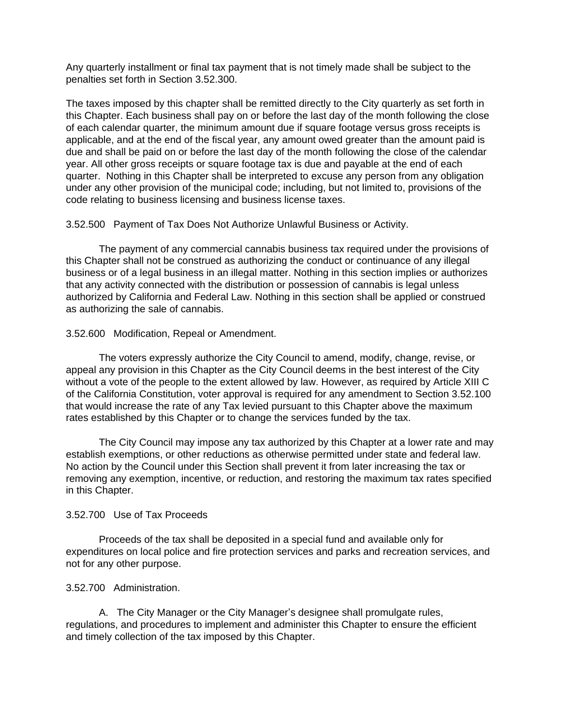Any quarterly installment or final tax payment that is not timely made shall be subject to the penalties set forth in Section 3.52.300.

The taxes imposed by this chapter shall be remitted directly to the City quarterly as set forth in this Chapter. Each business shall pay on or before the last day of the month following the close of each calendar quarter, the minimum amount due if square footage versus gross receipts is applicable, and at the end of the fiscal year, any amount owed greater than the amount paid is due and shall be paid on or before the last day of the month following the close of the calendar year. All other gross receipts or square footage tax is due and payable at the end of each quarter. Nothing in this Chapter shall be interpreted to excuse any person from any obligation under any other provision of the municipal code; including, but not limited to, provisions of the code relating to business licensing and business license taxes.

3.52.500 Payment of Tax Does Not Authorize Unlawful Business or Activity.

The payment of any commercial cannabis business tax required under the provisions of this Chapter shall not be construed as authorizing the conduct or continuance of any illegal business or of a legal business in an illegal matter. Nothing in this section implies or authorizes that any activity connected with the distribution or possession of cannabis is legal unless authorized by California and Federal Law. Nothing in this section shall be applied or construed as authorizing the sale of cannabis.

### 3.52.600 Modification, Repeal or Amendment.

The voters expressly authorize the City Council to amend, modify, change, revise, or appeal any provision in this Chapter as the City Council deems in the best interest of the City without a vote of the people to the extent allowed by law. However, as required by Article XIII C of the California Constitution, voter approval is required for any amendment to Section 3.52.100 that would increase the rate of any Tax levied pursuant to this Chapter above the maximum rates established by this Chapter or to change the services funded by the tax.

The City Council may impose any tax authorized by this Chapter at a lower rate and may establish exemptions, or other reductions as otherwise permitted under state and federal law. No action by the Council under this Section shall prevent it from later increasing the tax or removing any exemption, incentive, or reduction, and restoring the maximum tax rates specified in this Chapter.

### 3.52.700 Use of Tax Proceeds

Proceeds of the tax shall be deposited in a special fund and available only for expenditures on local police and fire protection services and parks and recreation services, and not for any other purpose.

### 3.52.700 Administration.

A. The City Manager or the City Manager's designee shall promulgate rules, regulations, and procedures to implement and administer this Chapter to ensure the efficient and timely collection of the tax imposed by this Chapter.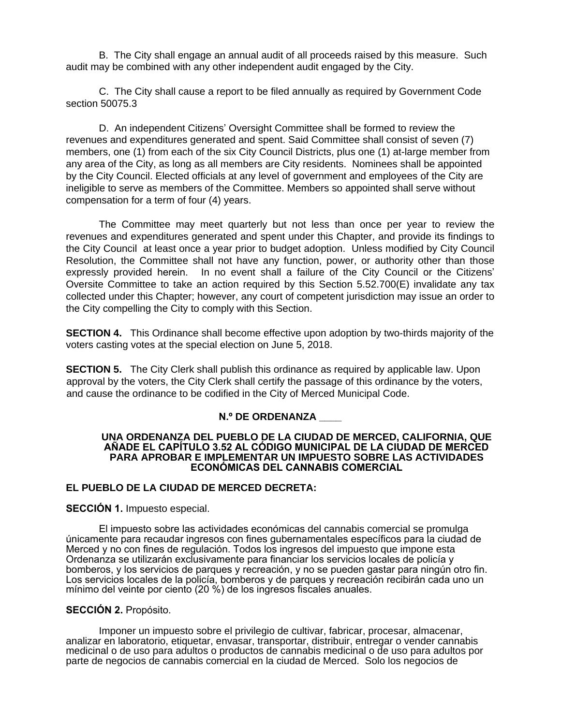B. The City shall engage an annual audit of all proceeds raised by this measure. Such audit may be combined with any other independent audit engaged by the City.

C. The City shall cause a report to be filed annually as required by Government Code section 50075.3

D. An independent Citizens' Oversight Committee shall be formed to review the revenues and expenditures generated and spent. Said Committee shall consist of seven (7) members, one (1) from each of the six City Council Districts, plus one (1) at-large member from any area of the City, as long as all members are City residents. Nominees shall be appointed by the City Council. Elected officials at any level of government and employees of the City are ineligible to serve as members of the Committee. Members so appointed shall serve without compensation for a term of four (4) years.

The Committee may meet quarterly but not less than once per year to review the revenues and expenditures generated and spent under this Chapter, and provide its findings to the City Council at least once a year prior to budget adoption. Unless modified by City Council Resolution, the Committee shall not have any function, power, or authority other than those expressly provided herein. In no event shall a failure of the City Council or the Citizens' Oversite Committee to take an action required by this Section 5.52.700(E) invalidate any tax collected under this Chapter; however, any court of competent jurisdiction may issue an order to the City compelling the City to comply with this Section.

**SECTION 4.** This Ordinance shall become effective upon adoption by two-thirds majority of the voters casting votes at the special election on June 5, 2018.

**SECTION 5.** The City Clerk shall publish this ordinance as required by applicable law. Upon approval by the voters, the City Clerk shall certify the passage of this ordinance by the voters, and cause the ordinance to be codified in the City of Merced Municipal Code.

### **N.º DE ORDENANZA \_\_\_\_**

#### **UNA ORDENANZA DEL PUEBLO DE LA CIUDAD DE MERCED, CALIFORNIA, QUE AÑADE EL CAPÍTULO 3.52 AL CÓDIGO MUNICIPAL DE LA CIUDAD DE MERCED PARA APROBAR E IMPLEMENTAR UN IMPUESTO SOBRE LAS ACTIVIDADES ECONÓMICAS DEL CANNABIS COMERCIAL**

### **EL PUEBLO DE LA CIUDAD DE MERCED DECRETA:**

**SECCIÓN 1.** Impuesto especial.

El impuesto sobre las actividades económicas del cannabis comercial se promulga únicamente para recaudar ingresos con fines gubernamentales específicos para la ciudad de Merced y no con fines de regulación. Todos los ingresos del impuesto que impone esta Ordenanza se utilizarán exclusivamente para financiar los servicios locales de policía y bomberos, y los servicios de parques y recreación, y no se pueden gastar para ningún otro fin. Los servicios locales de la policía, bomberos y de parques y recreación recibirán cada uno un mínimo del veinte por ciento (20 %) de los ingresos fiscales anuales.

### **SECCIÓN 2.** Propósito.

Imponer un impuesto sobre el privilegio de cultivar, fabricar, procesar, almacenar, analizar en laboratorio, etiquetar, envasar, transportar, distribuir, entregar o vender cannabis medicinal o de uso para adultos o productos de cannabis medicinal o de uso para adultos por parte de negocios de cannabis comercial en la ciudad de Merced. Solo los negocios de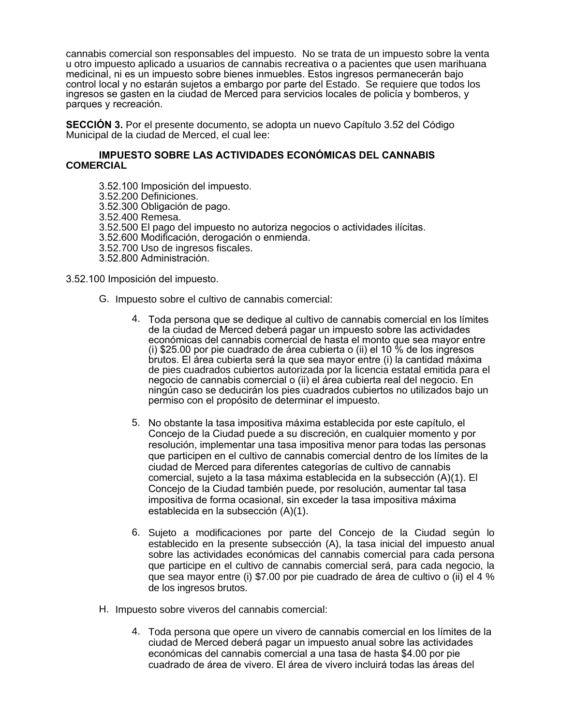cannabis comercial son responsables del impuesto. No se trata de un impuesto sobre la venta u otro impuesto aplicado a usuarios de cannabis recreativa o a pacientes que usen marihuana medicinal, ni es un impuesto sobre bienes inmuebles. Estos ingresos permanecerán bajo control local y no estarán sujetos a embargo por parte del Estado. Se requiere que todos los ingresos se gasten en la ciudad de Merced para servicios locales de policía y bomberos, y parques y recreación.

**SECCIÓN 3.** Por el presente documento, se adopta un nuevo Capítulo 3.52 del Código Municipal de la ciudad de Merced, el cual lee:

#### **IMPUESTO SOBRE LAS ACTIVIDADES ECONÓMICAS DEL CANNABIS COMERCIAL**

3.52.100 Imposición del impuesto. 3.52.200 Definiciones. 3.52.300 Obligación de pago. 3.52.400 Remesa. 3.52.500 El pago del impuesto no autoriza negocios o actividades ilícitas. 3.52.600 Modificación, derogación o enmienda. 3.52.700 Uso de ingresos fiscales. 3.52.800 Administración.

3.52.100 Imposición del impuesto.

- G. Impuesto sobre el cultivo de cannabis comercial:
	- 4. Toda persona que se dedique al cultivo de cannabis comercial en los límites de la ciudad de Merced deberá pagar un impuesto sobre las actividades económicas del cannabis comercial de hasta el monto que sea mayor entre (i) \$25.00 por pie cuadrado de área cubierta o (ii) el 10 % de los ingresos brutos. El área cubierta será la que sea mayor entre (i) la cantidad máxima de pies cuadrados cubiertos autorizada por la licencia estatal emitida para el negocio de cannabis comercial o (ii) el área cubierta real del negocio. En ningún caso se deducirán los pies cuadrados cubiertos no utilizados bajo un permiso con el propósito de determinar el impuesto.
	- 5. No obstante la tasa impositiva máxima establecida por este capítulo, el Concejo de la Ciudad puede a su discreción, en cualquier momento y por resolución, implementar una tasa impositiva menor para todas las personas que participen en el cultivo de cannabis comercial dentro de los límites de la ciudad de Merced para diferentes categorías de cultivo de cannabis comercial, sujeto a la tasa máxima establecida en la subsección (A)(1). El Concejo de la Ciudad también puede, por resolución, aumentar tal tasa impositiva de forma ocasional, sin exceder la tasa impositiva máxima establecida en la subsección (A)(1).
	- 6. Sujeto a modificaciones por parte del Concejo de la Ciudad según lo establecido en la presente subsección (A), la tasa inicial del impuesto anual sobre las actividades económicas del cannabis comercial para cada persona que participe en el cultivo de cannabis comercial será, para cada negocio, la que sea mayor entre (i) \$7.00 por pie cuadrado de área de cultivo o (ii) el 4 % de los ingresos brutos.
- H. Impuesto sobre viveros del cannabis comercial:
	- 4. Toda persona que opere un vivero de cannabis comercial en los límites de la ciudad de Merced deberá pagar un impuesto anual sobre las actividades económicas del cannabis comercial a una tasa de hasta \$4.00 por pie cuadrado de área de vivero. El área de vivero incluirá todas las áreas del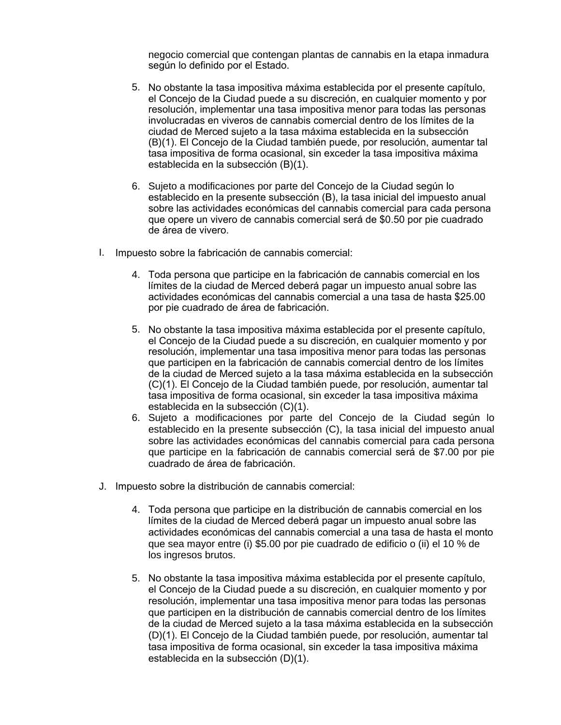negocio comercial que contengan plantas de cannabis en la etapa inmadura según lo definido por el Estado.

- 5. No obstante la tasa impositiva máxima establecida por el presente capítulo, el Concejo de la Ciudad puede a su discreción, en cualquier momento y por resolución, implementar una tasa impositiva menor para todas las personas involucradas en viveros de cannabis comercial dentro de los límites de la ciudad de Merced sujeto a la tasa máxima establecida en la subsección (B)(1). El Concejo de la Ciudad también puede, por resolución, aumentar tal tasa impositiva de forma ocasional, sin exceder la tasa impositiva máxima establecida en la subsección (B)(1).
- 6. Sujeto a modificaciones por parte del Concejo de la Ciudad según lo establecido en la presente subsección (B), la tasa inicial del impuesto anual sobre las actividades económicas del cannabis comercial para cada persona que opere un vivero de cannabis comercial será de \$0.50 por pie cuadrado de área de vivero.
- I. Impuesto sobre la fabricación de cannabis comercial:
	- 4. Toda persona que participe en la fabricación de cannabis comercial en los límites de la ciudad de Merced deberá pagar un impuesto anual sobre las actividades económicas del cannabis comercial a una tasa de hasta \$25.00 por pie cuadrado de área de fabricación.
	- 5. No obstante la tasa impositiva máxima establecida por el presente capítulo, el Concejo de la Ciudad puede a su discreción, en cualquier momento y por resolución, implementar una tasa impositiva menor para todas las personas que participen en la fabricación de cannabis comercial dentro de los límites de la ciudad de Merced sujeto a la tasa máxima establecida en la subsección (C)(1). El Concejo de la Ciudad también puede, por resolución, aumentar tal tasa impositiva de forma ocasional, sin exceder la tasa impositiva máxima establecida en la subsección (C)(1).
	- 6. Sujeto a modificaciones por parte del Concejo de la Ciudad según lo establecido en la presente subsección (C), la tasa inicial del impuesto anual sobre las actividades económicas del cannabis comercial para cada persona que participe en la fabricación de cannabis comercial será de \$7.00 por pie cuadrado de área de fabricación.
- J. Impuesto sobre la distribución de cannabis comercial:
	- 4. Toda persona que participe en la distribución de cannabis comercial en los límites de la ciudad de Merced deberá pagar un impuesto anual sobre las actividades económicas del cannabis comercial a una tasa de hasta el monto que sea mayor entre (i) \$5.00 por pie cuadrado de edificio o (ii) el 10 % de los ingresos brutos.
	- 5. No obstante la tasa impositiva máxima establecida por el presente capítulo, el Concejo de la Ciudad puede a su discreción, en cualquier momento y por resolución, implementar una tasa impositiva menor para todas las personas que participen en la distribución de cannabis comercial dentro de los límites de la ciudad de Merced sujeto a la tasa máxima establecida en la subsección (D)(1). El Concejo de la Ciudad también puede, por resolución, aumentar tal tasa impositiva de forma ocasional, sin exceder la tasa impositiva máxima establecida en la subsección (D)(1).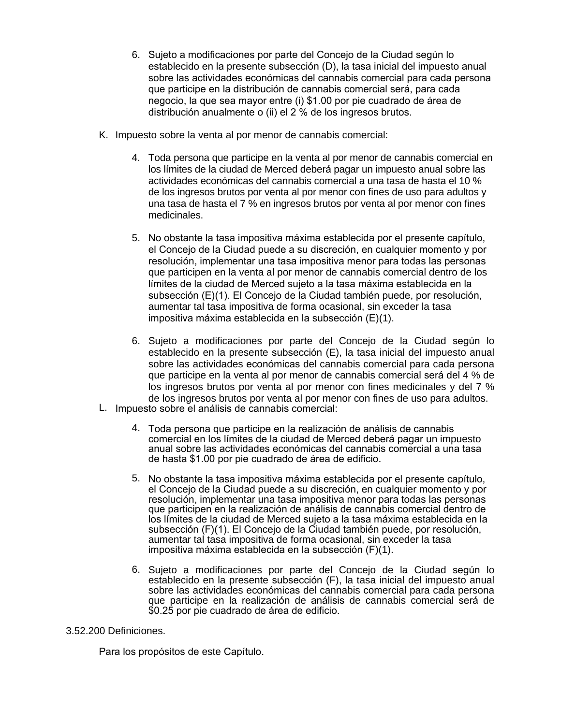- 6. Sujeto a modificaciones por parte del Concejo de la Ciudad según lo establecido en la presente subsección (D), la tasa inicial del impuesto anual sobre las actividades económicas del cannabis comercial para cada persona que participe en la distribución de cannabis comercial será, para cada negocio, la que sea mayor entre (i) \$1.00 por pie cuadrado de área de distribución anualmente o (ii) el 2 % de los ingresos brutos.
- K. Impuesto sobre la venta al por menor de cannabis comercial:
	- 4. Toda persona que participe en la venta al por menor de cannabis comercial en los límites de la ciudad de Merced deberá pagar un impuesto anual sobre las actividades económicas del cannabis comercial a una tasa de hasta el 10 % de los ingresos brutos por venta al por menor con fines de uso para adultos y una tasa de hasta el 7 % en ingresos brutos por venta al por menor con fines medicinales.
	- 5. No obstante la tasa impositiva máxima establecida por el presente capítulo, el Concejo de la Ciudad puede a su discreción, en cualquier momento y por resolución, implementar una tasa impositiva menor para todas las personas que participen en la venta al por menor de cannabis comercial dentro de los límites de la ciudad de Merced sujeto a la tasa máxima establecida en la subsección (E)(1). El Concejo de la Ciudad también puede, por resolución, aumentar tal tasa impositiva de forma ocasional, sin exceder la tasa impositiva máxima establecida en la subsección (E)(1).
	- 6. Sujeto a modificaciones por parte del Concejo de la Ciudad según lo establecido en la presente subsección (E), la tasa inicial del impuesto anual sobre las actividades económicas del cannabis comercial para cada persona que participe en la venta al por menor de cannabis comercial será del 4 % de los ingresos brutos por venta al por menor con fines medicinales y del 7 % de los ingresos brutos por venta al por menor con fines de uso para adultos.
- L. Impuesto sobre el análisis de cannabis comercial:
	- 4. Toda persona que participe en la realización de análisis de cannabis comercial en los límites de la ciudad de Merced deberá pagar un impuesto anual sobre las actividades económicas del cannabis comercial a una tasa de hasta \$1.00 por pie cuadrado de área de edificio.
	- 5. No obstante la tasa impositiva máxima establecida por el presente capítulo, el Concejo de la Ciudad puede a su discreción, en cualquier momento y por resolución, implementar una tasa impositiva menor para todas las personas que participen en la realización de análisis de cannabis comercial dentro de los límites de la ciudad de Merced sujeto a la tasa máxima establecida en la subsección (F)(1). El Concejo de la Ciudad también puede, por resolución, aumentar tal tasa impositiva de forma ocasional, sin exceder la tasa impositiva máxima establecida en la subsección (F)(1).
	- 6. Sujeto a modificaciones por parte del Concejo de la Ciudad según lo establecido en la presente subsección (F), la tasa inicial del impuesto anual sobre las actividades económicas del cannabis comercial para cada persona que participe en la realización de análisis de cannabis comercial será de \$0.25 por pie cuadrado de área de edificio.

### 3.52.200 Definiciones.

Para los propósitos de este Capítulo.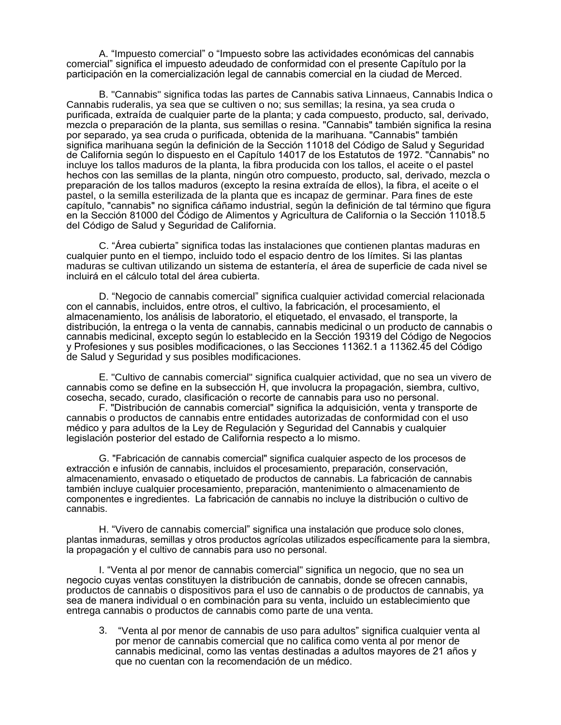A. "Impuesto comercial" o "Impuesto sobre las actividades económicas del cannabis comercial" significa el impuesto adeudado de conformidad con el presente Capítulo por la participación en la comercialización legal de cannabis comercial en la ciudad de Merced.

B. "Cannabis" significa todas las partes de Cannabis sativa Linnaeus, Cannabis lndica o Cannabis ruderalis, ya sea que se cultiven o no; sus semillas; la resina, ya sea cruda o purificada, extraída de cualquier parte de la planta; y cada compuesto, producto, sal, derivado, mezcla o preparación de la planta, sus semillas o resina. "Cannabis" también significa la resina por separado, ya sea cruda o purificada, obtenida de la marihuana. "Cannabis" también significa marihuana según la definición de la Sección 11018 del Código de Salud y Seguridad de California según lo dispuesto en el Capítulo 14017 de los Estatutos de 1972. "Cannabis" no incluye los tallos maduros de la planta, la fibra producida con los tallos, el aceite o el pastel hechos con las semillas de la planta, ningún otro compuesto, producto, sal, derivado, mezcla o preparación de los tallos maduros (excepto la resina extraída de ellos), la fibra, el aceite o el pastel, o la semilla esterilizada de la planta que es incapaz de germinar. Para fines de este capítulo, "cannabis" no significa cáñamo industrial, según la definición de tal término que figura en la Sección 81000 del Código de Alimentos y Agricultura de California o la Sección 11018.5 del Código de Salud y Seguridad de California.

C. "Área cubierta" significa todas las instalaciones que contienen plantas maduras en cualquier punto en el tiempo, incluido todo el espacio dentro de los límites. Si las plantas maduras se cultivan utilizando un sistema de estantería, el área de superficie de cada nivel se incluirá en el cálculo total del área cubierta.

D. "Negocio de cannabis comercial" significa cualquier actividad comercial relacionada con el cannabis, incluidos, entre otros, el cultivo, la fabricación, el procesamiento, el almacenamiento, los análisis de laboratorio, el etiquetado, el envasado, el transporte, la distribución, la entrega o la venta de cannabis, cannabis medicinal o un producto de cannabis o cannabis medicinal, excepto según lo establecido en la Sección 19319 del Código de Negocios y Profesiones y sus posibles modificaciones, o las Secciones 11362.1 a 11362.45 del Código de Salud y Seguridad y sus posibles modificaciones.

E. "Cultivo de cannabis comercial" significa cualquier actividad, que no sea un vivero de cannabis como se define en la subsección H, que involucra la propagación, siembra, cultivo, cosecha, secado, curado, clasificación o recorte de cannabis para uso no personal.

F. "Distribución de cannabis comercial" significa la adquisición, venta y transporte de cannabis o productos de cannabis entre entidades autorizadas de conformidad con el uso médico y para adultos de la Ley de Regulación y Seguridad del Cannabis y cualquier legislación posterior del estado de California respecto a lo mismo.

G. "Fabricación de cannabis comercial" significa cualquier aspecto de los procesos de extracción e infusión de cannabis, incluidos el procesamiento, preparación, conservación, almacenamiento, envasado o etiquetado de productos de cannabis. La fabricación de cannabis también incluye cualquier procesamiento, preparación, mantenimiento o almacenamiento de componentes e ingredientes. La fabricación de cannabis no incluye la distribución o cultivo de cannabis.

H. "Vivero de cannabis comercial" significa una instalación que produce solo clones, plantas inmaduras, semillas y otros productos agrícolas utilizados específicamente para la siembra, la propagación y el cultivo de cannabis para uso no personal.

I. "Venta al por menor de cannabis comercial" significa un negocio, que no sea un negocio cuyas ventas constituyen la distribución de cannabis, donde se ofrecen cannabis, productos de cannabis o dispositivos para el uso de cannabis o de productos de cannabis, ya sea de manera individual o en combinación para su venta, incluido un establecimiento que entrega cannabis o productos de cannabis como parte de una venta.

3. "Venta al por menor de cannabis de uso para adultos" significa cualquier venta al por menor de cannabis comercial que no califica como venta al por menor de cannabis medicinal, como las ventas destinadas a adultos mayores de 21 años y que no cuentan con la recomendación de un médico.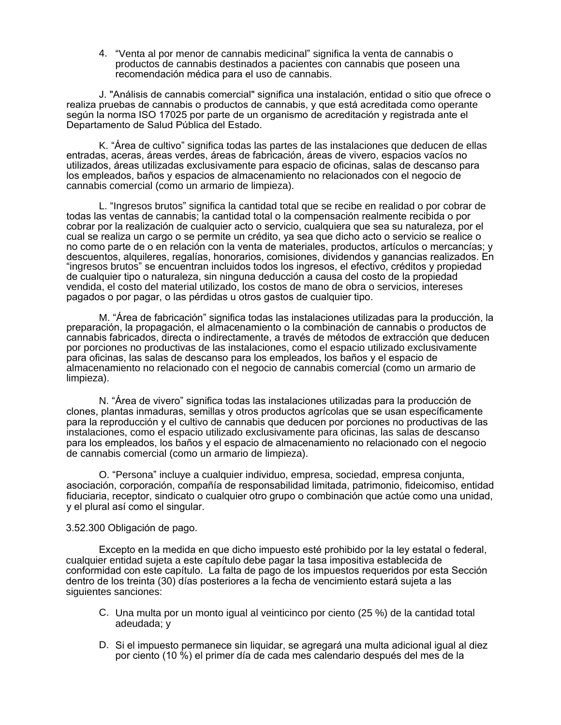4. "Venta al por menor de cannabis medicinal" significa la venta de cannabis o productos de cannabis destinados a pacientes con cannabis que poseen una recomendación médica para el uso de cannabis.

J. "Análisis de cannabis comercial" significa una instalación, entidad o sitio que ofrece o realiza pruebas de cannabis o productos de cannabis, y que está acreditada como operante según la norma ISO 17025 por parte de un organismo de acreditación y registrada ante el Departamento de Salud Pública del Estado.

K. "Área de cultivo" significa todas las partes de las instalaciones que deducen de ellas entradas, aceras, áreas verdes, áreas de fabricación, áreas de vivero, espacios vacíos no utilizados, áreas utilizadas exclusivamente para espacio de oficinas, salas de descanso para los empleados, baños y espacios de almacenamiento no relacionados con el negocio de cannabis comercial (como un armario de limpieza).

L. "Ingresos brutos" significa la cantidad total que se recibe en realidad o por cobrar de todas las ventas de cannabis; la cantidad total o la compensación realmente recibida o por cobrar por la realización de cualquier acto o servicio, cualquiera que sea su naturaleza, por el cual se realiza un cargo o se permite un crédito, ya sea que dicho acto o servicio se realice o no como parte de o en relación con la venta de materiales, productos, artículos o mercancías; y descuentos, alquileres, regalías, honorarios, comisiones, dividendos y ganancias realizados. En "ingresos brutos" se encuentran incluidos todos los ingresos, el efectivo, créditos y propiedad de cualquier tipo o naturaleza, sin ninguna deducción a causa del costo de la propiedad vendida, el costo del material utilizado, los costos de mano de obra o servicios, intereses pagados o por pagar, o las pérdidas u otros gastos de cualquier tipo.

M. "Área de fabricación" significa todas las instalaciones utilizadas para la producción, la preparación, la propagación, el almacenamiento o la combinación de cannabis o productos de cannabis fabricados, directa o indirectamente, a través de métodos de extracción que deducen por porciones no productivas de las instalaciones, como el espacio utilizado exclusivamente para oficinas, las salas de descanso para los empleados, los baños y el espacio de almacenamiento no relacionado con el negocio de cannabis comercial (como un armario de limpieza).

N. "Área de vivero" significa todas las instalaciones utilizadas para la producción de clones, plantas inmaduras, semillas y otros productos agrícolas que se usan específicamente para la reproducción y el cultivo de cannabis que deducen por porciones no productivas de las instalaciones, como el espacio utilizado exclusivamente para oficinas, las salas de descanso para los empleados, los baños y el espacio de almacenamiento no relacionado con el negocio de cannabis comercial (como un armario de limpieza).

O. "Persona" incluye a cualquier individuo, empresa, sociedad, empresa conjunta, asociación, corporación, compañía de responsabilidad limitada, patrimonio, fideicomiso, entidad fiduciaria, receptor, sindicato o cualquier otro grupo o combinación que actúe como una unidad, y el plural así como el singular.

#### 3.52.300 Obligación de pago.

Excepto en la medida en que dicho impuesto esté prohibido por la ley estatal o federal, cualquier entidad sujeta a este capítulo debe pagar la tasa impositiva establecida de conformidad con este capítulo. La falta de pago de los impuestos requeridos por esta Sección dentro de los treinta (30) días posteriores a la fecha de vencimiento estará sujeta a las siguientes sanciones:

- C. Una multa por un monto igual al veinticinco por ciento (25 %) de la cantidad total adeudada; y
- D. Si el impuesto permanece sin liquidar, se agregará una multa adicional igual al diez por ciento (10 %) el primer día de cada mes calendario después del mes de la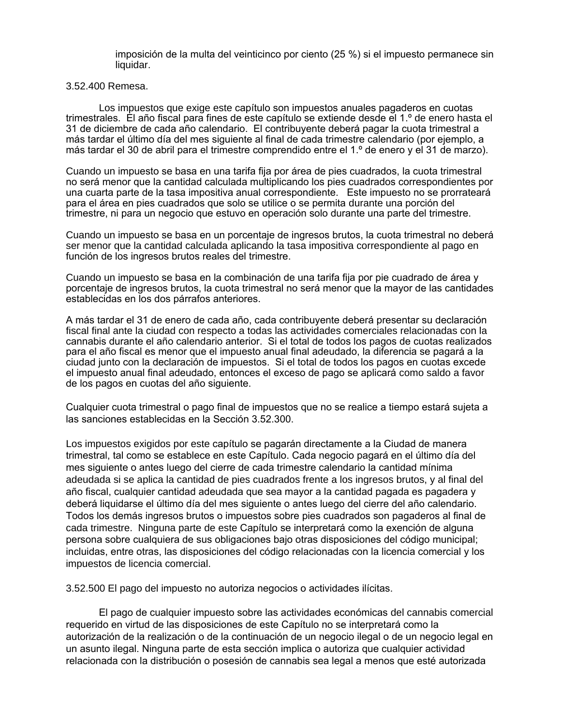imposición de la multa del veinticinco por ciento (25 %) si el impuesto permanece sin liquidar.

#### 3.52.400 Remesa.

Los impuestos que exige este capítulo son impuestos anuales pagaderos en cuotas trimestrales. El año fiscal para fines de este capítulo se extiende desde el 1.º de enero hasta el 31 de diciembre de cada año calendario. El contribuyente deberá pagar la cuota trimestral a más tardar el último día del mes siguiente al final de cada trimestre calendario (por ejemplo, a más tardar el 30 de abril para el trimestre comprendido entre el 1.º de enero y el 31 de marzo).

Cuando un impuesto se basa en una tarifa fija por área de pies cuadrados, la cuota trimestral no será menor que la cantidad calculada multiplicando los pies cuadrados correspondientes por una cuarta parte de la tasa impositiva anual correspondiente. Este impuesto no se prorrateará para el área en pies cuadrados que solo se utilice o se permita durante una porción del trimestre, ni para un negocio que estuvo en operación solo durante una parte del trimestre.

Cuando un impuesto se basa en un porcentaje de ingresos brutos, la cuota trimestral no deberá ser menor que la cantidad calculada aplicando la tasa impositiva correspondiente al pago en función de los ingresos brutos reales del trimestre.

Cuando un impuesto se basa en la combinación de una tarifa fija por pie cuadrado de área y porcentaje de ingresos brutos, la cuota trimestral no será menor que la mayor de las cantidades establecidas en los dos párrafos anteriores.

A más tardar el 31 de enero de cada año, cada contribuyente deberá presentar su declaración fiscal final ante la ciudad con respecto a todas las actividades comerciales relacionadas con la cannabis durante el año calendario anterior. Si el total de todos los pagos de cuotas realizados para el año fiscal es menor que el impuesto anual final adeudado, la diferencia se pagará a la ciudad junto con la declaración de impuestos. Si el total de todos los pagos en cuotas excede el impuesto anual final adeudado, entonces el exceso de pago se aplicará como saldo a favor de los pagos en cuotas del año siguiente.

Cualquier cuota trimestral o pago final de impuestos que no se realice a tiempo estará sujeta a las sanciones establecidas en la Sección 3.52.300.

Los impuestos exigidos por este capítulo se pagarán directamente a la Ciudad de manera trimestral, tal como se establece en este Capítulo. Cada negocio pagará en el último día del mes siguiente o antes luego del cierre de cada trimestre calendario la cantidad mínima adeudada si se aplica la cantidad de pies cuadrados frente a los ingresos brutos, y al final del año fiscal, cualquier cantidad adeudada que sea mayor a la cantidad pagada es pagadera y deberá liquidarse el último día del mes siguiente o antes luego del cierre del año calendario. Todos los demás ingresos brutos o impuestos sobre pies cuadrados son pagaderos al final de cada trimestre. Ninguna parte de este Capítulo se interpretará como la exención de alguna persona sobre cualquiera de sus obligaciones bajo otras disposiciones del código municipal; incluidas, entre otras, las disposiciones del código relacionadas con la licencia comercial y los impuestos de licencia comercial.

3.52.500 El pago del impuesto no autoriza negocios o actividades ilícitas.

El pago de cualquier impuesto sobre las actividades económicas del cannabis comercial requerido en virtud de las disposiciones de este Capítulo no se interpretará como la autorización de la realización o de la continuación de un negocio ilegal o de un negocio legal en un asunto ilegal. Ninguna parte de esta sección implica o autoriza que cualquier actividad relacionada con la distribución o posesión de cannabis sea legal a menos que esté autorizada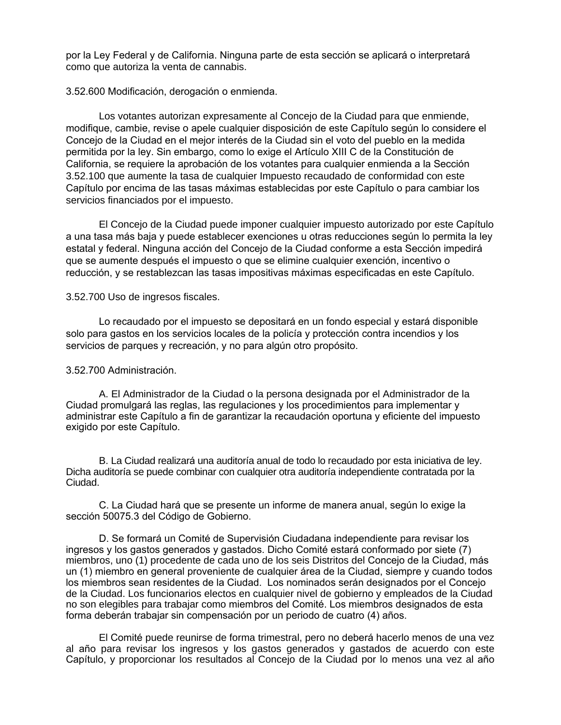por la Ley Federal y de California. Ninguna parte de esta sección se aplicará o interpretará como que autoriza la venta de cannabis.

3.52.600 Modificación, derogación o enmienda.

Los votantes autorizan expresamente al Concejo de la Ciudad para que enmiende, modifique, cambie, revise o apele cualquier disposición de este Capítulo según lo considere el Concejo de la Ciudad en el mejor interés de la Ciudad sin el voto del pueblo en la medida permitida por la ley. Sin embargo, como lo exige el Artículo XIII C de la Constitución de California, se requiere la aprobación de los votantes para cualquier enmienda a la Sección 3.52.100 que aumente la tasa de cualquier Impuesto recaudado de conformidad con este Capítulo por encima de las tasas máximas establecidas por este Capítulo o para cambiar los servicios financiados por el impuesto.

El Concejo de la Ciudad puede imponer cualquier impuesto autorizado por este Capítulo a una tasa más baja y puede establecer exenciones u otras reducciones según lo permita la ley estatal y federal. Ninguna acción del Concejo de la Ciudad conforme a esta Sección impedirá que se aumente después el impuesto o que se elimine cualquier exención, incentivo o reducción, y se restablezcan las tasas impositivas máximas especificadas en este Capítulo.

### 3.52.700 Uso de ingresos fiscales.

Lo recaudado por el impuesto se depositará en un fondo especial y estará disponible solo para gastos en los servicios locales de la policía y protección contra incendios y los servicios de parques y recreación, y no para algún otro propósito.

### 3.52.700 Administración.

A. El Administrador de la Ciudad o la persona designada por el Administrador de la Ciudad promulgará las reglas, las regulaciones y los procedimientos para implementar y administrar este Capítulo a fin de garantizar la recaudación oportuna y eficiente del impuesto exigido por este Capítulo.

B. La Ciudad realizará una auditoría anual de todo lo recaudado por esta iniciativa de ley. Dicha auditoría se puede combinar con cualquier otra auditoría independiente contratada por la Ciudad.

C. La Ciudad hará que se presente un informe de manera anual, según lo exige la sección 50075.3 del Código de Gobierno.

D. Se formará un Comité de Supervisión Ciudadana independiente para revisar los ingresos y los gastos generados y gastados. Dicho Comité estará conformado por siete (7) miembros, uno (1) procedente de cada uno de los seis Distritos del Concejo de la Ciudad, más un (1) miembro en general proveniente de cualquier área de la Ciudad, siempre y cuando todos los miembros sean residentes de la Ciudad. Los nominados serán designados por el Concejo de la Ciudad. Los funcionarios electos en cualquier nivel de gobierno y empleados de la Ciudad no son elegibles para trabajar como miembros del Comité. Los miembros designados de esta forma deberán trabajar sin compensación por un periodo de cuatro (4) años.

El Comité puede reunirse de forma trimestral, pero no deberá hacerlo menos de una vez al año para revisar los ingresos y los gastos generados y gastados de acuerdo con este Capítulo, y proporcionar los resultados al Concejo de la Ciudad por lo menos una vez al año